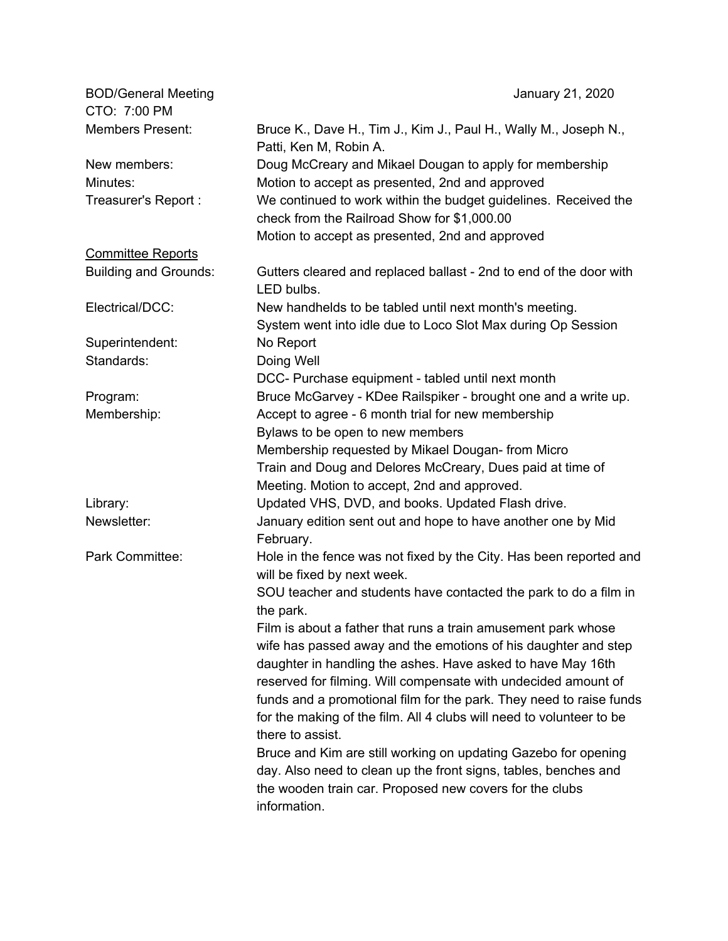| <b>BOD/General Meeting</b>   | January 21, 2020                                                                           |
|------------------------------|--------------------------------------------------------------------------------------------|
| CTO: 7:00 PM                 |                                                                                            |
| <b>Members Present:</b>      | Bruce K., Dave H., Tim J., Kim J., Paul H., Wally M., Joseph N.,<br>Patti, Ken M, Robin A. |
| New members:                 | Doug McCreary and Mikael Dougan to apply for membership                                    |
| Minutes:                     | Motion to accept as presented, 2nd and approved                                            |
| Treasurer's Report :         | We continued to work within the budget guidelines. Received the                            |
|                              | check from the Railroad Show for \$1,000.00                                                |
|                              | Motion to accept as presented, 2nd and approved                                            |
| <b>Committee Reports</b>     |                                                                                            |
| <b>Building and Grounds:</b> | Gutters cleared and replaced ballast - 2nd to end of the door with<br>LED bulbs.           |
| Electrical/DCC:              | New handhelds to be tabled until next month's meeting.                                     |
|                              | System went into idle due to Loco Slot Max during Op Session                               |
| Superintendent:              | No Report                                                                                  |
| Standards:                   | Doing Well                                                                                 |
|                              | DCC- Purchase equipment - tabled until next month                                          |
| Program:                     | Bruce McGarvey - KDee Railspiker - brought one and a write up.                             |
| Membership:                  | Accept to agree - 6 month trial for new membership                                         |
|                              | Bylaws to be open to new members                                                           |
|                              | Membership requested by Mikael Dougan- from Micro                                          |
|                              | Train and Doug and Delores McCreary, Dues paid at time of                                  |
|                              | Meeting. Motion to accept, 2nd and approved.                                               |
| Library:                     | Updated VHS, DVD, and books. Updated Flash drive.                                          |
| Newsletter:                  | January edition sent out and hope to have another one by Mid<br>February.                  |
| Park Committee:              | Hole in the fence was not fixed by the City. Has been reported and                         |
|                              | will be fixed by next week.                                                                |
|                              | SOU teacher and students have contacted the park to do a film in<br>the park.              |
|                              | Film is about a father that runs a train amusement park whose                              |
|                              | wife has passed away and the emotions of his daughter and step                             |
|                              | daughter in handling the ashes. Have asked to have May 16th                                |
|                              | reserved for filming. Will compensate with undecided amount of                             |
|                              | funds and a promotional film for the park. They need to raise funds                        |
|                              | for the making of the film. All 4 clubs will need to volunteer to be                       |
|                              | there to assist.                                                                           |
|                              | Bruce and Kim are still working on updating Gazebo for opening                             |
|                              | day. Also need to clean up the front signs, tables, benches and                            |
|                              | the wooden train car. Proposed new covers for the clubs                                    |
|                              | information.                                                                               |